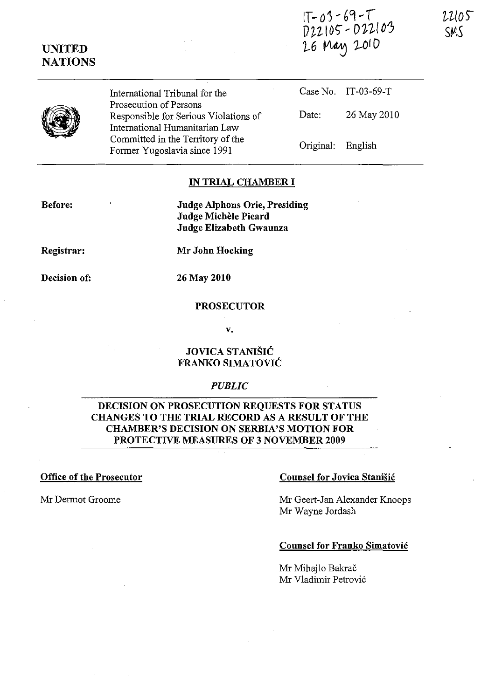|                  | $V22105 - VLLU$<br>26 May 2010 |
|------------------|--------------------------------|
| Fribunal for the | Case No. IT-03-69-T            |



**UNITED NATIONS** 

> International T Prosecution of Persons Responsible for Serious Violations of International Humanitarian Law Committed in the Territory of the Former Yugoslavia since 1991

Date: 26 May 2010

 $1T - 03 - 69 - T$ 

Original: English

### **IN TRIAL CHAMBER I**

**Before:** 

**Judge Alphons Orie, Presiding Judge Michele Picard Judge Elizabeth Gwaunza** 

**Registrar:** 

**Mr John Hocking** 

**Decision of:** 

**26 May 2010** 

### **PROSECUTOR**

**v.** 

## **JOVICA STANI§IC FRANKO SIMATOVIC**

### *PUBLIC*

## **DECISION ON PROSECUTION REQUESTS FOR STATUS CHANGES TO THE TRIAL RECORD AS A RESULT OF THE CHAMBER'S DECISION ON SERBIA'S MOTION FOR PROTECTIVE MEASURES OF 3 NOVEMBER 2009**

### **Office of the Prosecutor** Counsel for Jovica Stanisic

Mr Dermot Groome Mr Geert-Jan Alexander Knoops Mr Wayne Jordash

### **Counsel for Franko Simatovic**

Mr Mihajlo Bakrač Mr Vladimir Petrović 22105 SMS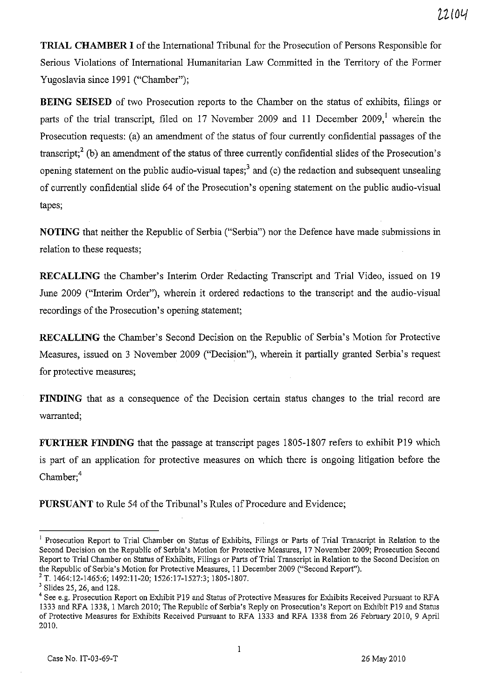**TRIAL CHAMBER I** of the International Tribunal for the Prosecution of Persons Responsible for Serious Violations of International Humanitarian Law Committed in the Territory of the Former Yugoslavia since 1991 ("Chamber");

**BEING SEISED** of two Prosecution reports to the Chamber on the status of exhibits, filings or parts of the trial transcript, filed on 17 November 2009 and 11 December 2009,<sup>1</sup> wherein the Prosecution requests: (a) an amendment of the status of four currently confidential passages of the transcript;<sup>2</sup> (b) an amendment of the status of three currently confidential slides of the Prosecution's opening statement on the public audio-visual tapes;<sup>3</sup> and (c) the redaction and subsequent unsealing of currently confidential slide 64 of the Prosecution's opening statement on the public audio-visual tapes;

**NOTING** that neither the Republic of Serbia ("Serbia") nor the Defence have made submissions in relation to these requests;

**RECALLING** the Chamber's Interim Order Redacting Transcript and Trial Video, issued on 19 June 2009 ("Interim Order"), wherein it ordered redactions to the transcript and the audio-visual recordings of the Prosecution's opening statement;

**RECALLING** the Chamber's Second Decision on the Republic of Serbia's Motion for Protective Measures, issued on 3 November 2009 ("Decision"), wherein it partially granted Serbia's request for protective measures;

**FINDING** that as a consequence of the Decision certain status changes to the trial record are warranted;

**FURTHER FINDING** that the passage at transcript pages 1805-1807 refers to exhibit P19 which is part of an application for protective measures on which there is ongoing litigation before the  $Chamber; ^4$ 

**PURSUANT** to Rule 54 of the Tribunal's Rules of Procedure and Evidence;

<sup>&</sup>lt;sup>1</sup> Prosecution Report to Trial Chamber on Status of Exhibits, Filings or Parts of Trial Transcript in Relation to the Second Decision on the Republic of Serbia's Motion for Protective Measures, 17 November 2009; Prosecution Second Report to Trial Chamber on Status of Exhibits, Filings or Parts of Trial Transcript in Relation to the Second Decision on the Republic of Serbia's Motion for Protective Measures, 11 December 2009 ("Second Report").

<sup>2</sup> T. 1464:12-1465:6; 1492:11-20; 1526:17-1527:3; 1805-1807.

<sup>3</sup> Slides 25, 26, and 128.

<sup>&</sup>lt;sup>4</sup> See e.g. Prosecution Report on Exhibit P19 and Status of Protective Measures for Exhibits Received Pursuant to RFA 1333 and RFA 1338, 1 March 2010; The Republic of Serbia's Reply on Prosecution's Report on Exhibit P19 and Status of Protective Measures for Exhibits Received Pursuant to RFA 1333 and RFA 1338 from 26 February 2010,9 April 2010.